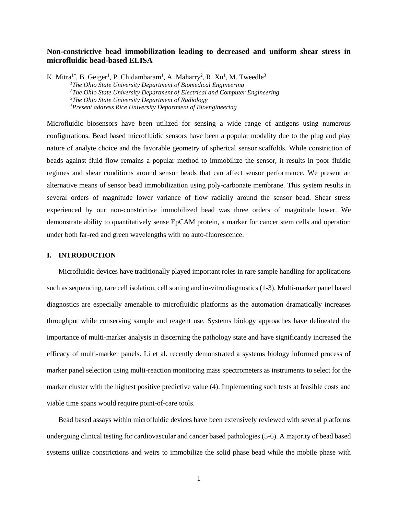# **Non-constrictive bead immobilization leading to decreased and uniform shear stress in microfluidic bead-based ELISA**

K. Mitra<sup>1\*</sup>, B. Geiger<sup>1</sup>, P. Chidambaram<sup>1</sup>, A. Maharry<sup>2</sup>, R. Xu<sup>1</sup>, M. Tweedle<sup>3</sup> *<sup>1</sup>The Ohio State University Department of Biomedical Engineering <sup>2</sup>The Ohio State University Department of Electrical and Computer Engineering <sup>3</sup>The Ohio State University Department of Radiology \*Present address Rice University Department of Bioengineering*

Microfluidic biosensors have been utilized for sensing a wide range of antigens using numerous configurations. Bead based microfluidic sensors have been a popular modality due to the plug and play nature of analyte choice and the favorable geometry of spherical sensor scaffolds. While constriction of beads against fluid flow remains a popular method to immobilize the sensor, it results in poor fluidic regimes and shear conditions around sensor beads that can affect sensor performance. We present an alternative means of sensor bead immobilization using poly-carbonate membrane. This system results in several orders of magnitude lower variance of flow radially around the sensor bead. Shear stress experienced by our non-constrictive immobilized bead was three orders of magnitude lower. We demonstrate ability to quantitatively sense EpCAM protein, a marker for cancer stem cells and operation under both far-red and green wavelengths with no auto-fluorescence.

## **I. INTRODUCTION**

Microfluidic devices have traditionally played important roles in rare sample handling for applications such as sequencing, rare cell isolation, cell sorting and in-vitro diagnostics (1-3). Multi-marker panel based diagnostics are especially amenable to microfluidic platforms as the automation dramatically increases throughput while conserving sample and reagent use. Systems biology approaches have delineated the importance of multi-marker analysis in discerning the pathology state and have significantly increased the efficacy of multi-marker panels. Li et al. recently demonstrated a systems biology informed process of marker panel selection using multi-reaction monitoring mass spectrometers as instruments to select for the marker cluster with the highest positive predictive value (4). Implementing such tests at feasible costs and viable time spans would require point-of-care tools.

Bead based assays within microfluidic devices have been extensively reviewed with several platforms undergoing clinical testing for cardiovascular and cancer based pathologies (5-6). A majority of bead based systems utilize constrictions and weirs to immobilize the solid phase bead while the mobile phase with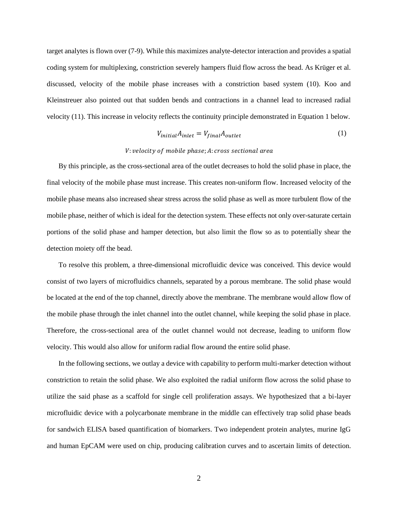target analytes is flown over (7-9). While this maximizes analyte-detector interaction and provides a spatial coding system for multiplexing, constriction severely hampers fluid flow across the bead. As Krüger et al. discussed, velocity of the mobile phase increases with a constriction based system (10). Koo and Kleinstreuer also pointed out that sudden bends and contractions in a channel lead to increased radial velocity (11). This increase in velocity reflects the continuity principle demonstrated in Equation 1 below.

$$
V_{initial}A_{inlet} = V_{final}A_{outlet}
$$
 (1)

## V: velocity of mobile phase; A: cross sectional area

By this principle, as the cross-sectional area of the outlet decreases to hold the solid phase in place, the final velocity of the mobile phase must increase. This creates non-uniform flow. Increased velocity of the mobile phase means also increased shear stress across the solid phase as well as more turbulent flow of the mobile phase, neither of which is ideal for the detection system. These effects not only over-saturate certain portions of the solid phase and hamper detection, but also limit the flow so as to potentially shear the detection moiety off the bead.

To resolve this problem, a three-dimensional microfluidic device was conceived. This device would consist of two layers of microfluidics channels, separated by a porous membrane. The solid phase would be located at the end of the top channel, directly above the membrane. The membrane would allow flow of the mobile phase through the inlet channel into the outlet channel, while keeping the solid phase in place. Therefore, the cross-sectional area of the outlet channel would not decrease, leading to uniform flow velocity. This would also allow for uniform radial flow around the entire solid phase.

In the following sections, we outlay a device with capability to perform multi-marker detection without constriction to retain the solid phase. We also exploited the radial uniform flow across the solid phase to utilize the said phase as a scaffold for single cell proliferation assays. We hypothesized that a bi-layer microfluidic device with a polycarbonate membrane in the middle can effectively trap solid phase beads for sandwich ELISA based quantification of biomarkers. Two independent protein analytes, murine IgG and human EpCAM were used on chip, producing calibration curves and to ascertain limits of detection.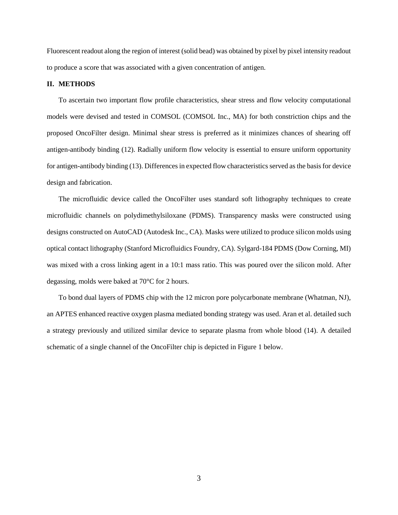Fluorescent readout along the region of interest (solid bead) was obtained by pixel by pixel intensity readout to produce a score that was associated with a given concentration of antigen.

### **II. METHODS**

To ascertain two important flow profile characteristics, shear stress and flow velocity computational models were devised and tested in COMSOL (COMSOL Inc., MA) for both constriction chips and the proposed OncoFilter design. Minimal shear stress is preferred as it minimizes chances of shearing off antigen-antibody binding (12). Radially uniform flow velocity is essential to ensure uniform opportunity for antigen-antibody binding (13). Differences in expected flow characteristics served as the basis for device design and fabrication.

The microfluidic device called the OncoFilter uses standard soft lithography techniques to create microfluidic channels on polydimethylsiloxane (PDMS). Transparency masks were constructed using designs constructed on AutoCAD (Autodesk Inc., CA). Masks were utilized to produce silicon molds using optical contact lithography (Stanford Microfluidics Foundry, CA). Sylgard-184 PDMS (Dow Corning, MI) was mixed with a cross linking agent in a 10:1 mass ratio. This was poured over the silicon mold. After degassing, molds were baked at 70°C for 2 hours.

To bond dual layers of PDMS chip with the 12 micron pore polycarbonate membrane (Whatman, NJ), an APTES enhanced reactive oxygen plasma mediated bonding strategy was used. Aran et al. detailed such a strategy previously and utilized similar device to separate plasma from whole blood (14). A detailed schematic of a single channel of the OncoFilter chip is depicted in Figure 1 below.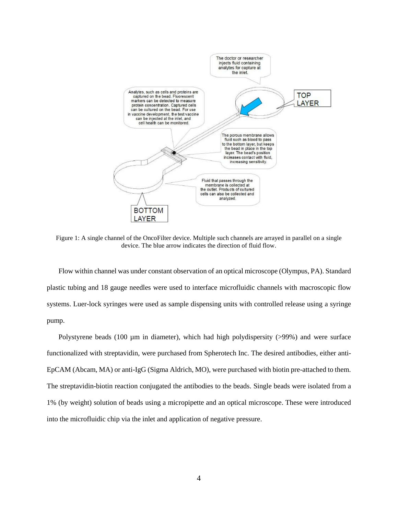

Figure 1: A single channel of the OncoFilter device. Multiple such channels are arrayed in parallel on a single device. The blue arrow indicates the direction of fluid flow.

Flow within channel was under constant observation of an optical microscope (Olympus, PA). Standard plastic tubing and 18 gauge needles were used to interface microfluidic channels with macroscopic flow systems. Luer-lock syringes were used as sample dispensing units with controlled release using a syringe pump.

Polystyrene beads (100 µm in diameter), which had high polydispersity (>99%) and were surface functionalized with streptavidin, were purchased from Spherotech Inc. The desired antibodies, either anti-EpCAM (Abcam, MA) or anti-IgG (Sigma Aldrich, MO), were purchased with biotin pre-attached to them. The streptavidin-biotin reaction conjugated the antibodies to the beads. Single beads were isolated from a 1% (by weight) solution of beads using a micropipette and an optical microscope. These were introduced into the microfluidic chip via the inlet and application of negative pressure.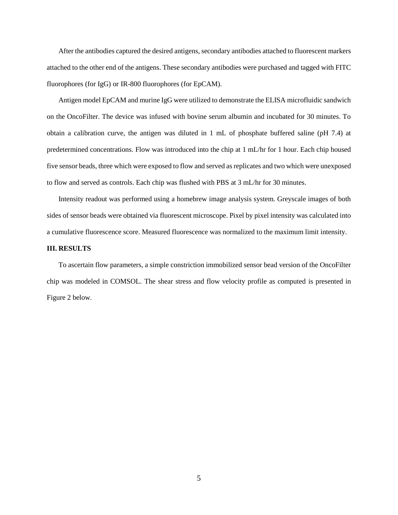After the antibodies captured the desired antigens, secondary antibodies attached to fluorescent markers attached to the other end of the antigens. These secondary antibodies were purchased and tagged with FITC fluorophores (for IgG) or IR-800 fluorophores (for EpCAM).

Antigen model EpCAM and murine IgG were utilized to demonstrate the ELISA microfluidic sandwich on the OncoFilter. The device was infused with bovine serum albumin and incubated for 30 minutes. To obtain a calibration curve, the antigen was diluted in 1 mL of phosphate buffered saline (pH 7.4) at predetermined concentrations. Flow was introduced into the chip at 1 mL/hr for 1 hour. Each chip housed five sensor beads, three which were exposed to flow and served as replicates and two which were unexposed to flow and served as controls. Each chip was flushed with PBS at 3 mL/hr for 30 minutes.

Intensity readout was performed using a homebrew image analysis system. Greyscale images of both sides of sensor beads were obtained via fluorescent microscope. Pixel by pixel intensity was calculated into a cumulative fluorescence score. Measured fluorescence was normalized to the maximum limit intensity.

## **III. RESULTS**

To ascertain flow parameters, a simple constriction immobilized sensor bead version of the OncoFilter chip was modeled in COMSOL. The shear stress and flow velocity profile as computed is presented in Figure 2 below.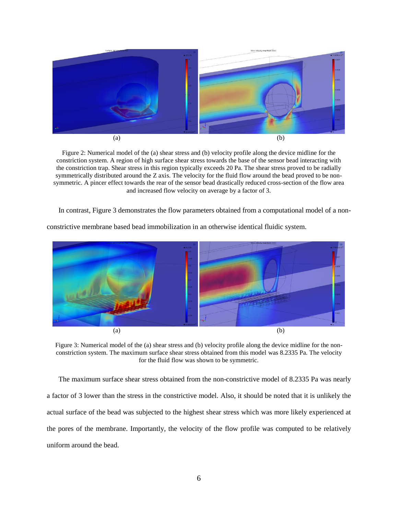

Figure 2: Numerical model of the (a) shear stress and (b) velocity profile along the device midline for the constriction system. A region of high surface shear stress towards the base of the sensor bead interacting with the constriction trap. Shear stress in this region typically exceeds 20 Pa. The shear stress proved to be radially symmetrically distributed around the Z axis. The velocity for the fluid flow around the bead proved to be nonsymmetric. A pincer effect towards the rear of the sensor bead drastically reduced cross-section of the flow area and increased flow velocity on average by a factor of 3.

In contrast, Figure 3 demonstrates the flow parameters obtained from a computational model of a non-



constrictive membrane based bead immobilization in an otherwise identical fluidic system.

Figure 3: Numerical model of the (a) shear stress and (b) velocity profile along the device midline for the nonconstriction system. The maximum surface shear stress obtained from this model was 8.2335 Pa. The velocity for the fluid flow was shown to be symmetric.

The maximum surface shear stress obtained from the non-constrictive model of 8.2335 Pa was nearly a factor of 3 lower than the stress in the constrictive model. Also, it should be noted that it is unlikely the actual surface of the bead was subjected to the highest shear stress which was more likely experienced at the pores of the membrane. Importantly, the velocity of the flow profile was computed to be relatively uniform around the bead.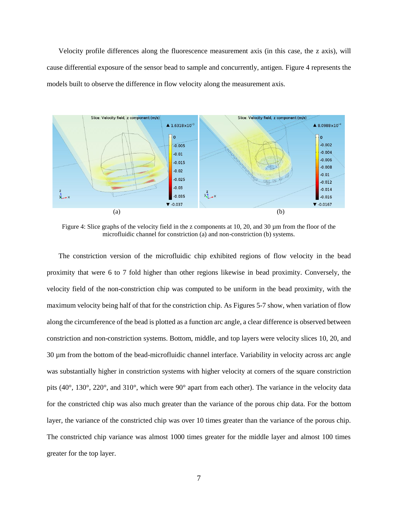Velocity profile differences along the fluorescence measurement axis (in this case, the z axis), will cause differential exposure of the sensor bead to sample and concurrently, antigen. Figure 4 represents the models built to observe the difference in flow velocity along the measurement axis.



Figure 4: Slice graphs of the velocity field in the z components at 10, 20, and 30  $\mu$ m from the floor of the microfluidic channel for constriction (a) and non-constriction (b) systems.

The constriction version of the microfluidic chip exhibited regions of flow velocity in the bead proximity that were 6 to 7 fold higher than other regions likewise in bead proximity. Conversely, the velocity field of the non-constriction chip was computed to be uniform in the bead proximity, with the maximum velocity being half of that for the constriction chip. As Figures 5-7 show, when variation of flow along the circumference of the bead is plotted as a function arc angle, a clear difference is observed between constriction and non-constriction systems. Bottom, middle, and top layers were velocity slices 10, 20, and 30 µm from the bottom of the bead-microfluidic channel interface. Variability in velocity across arc angle was substantially higher in constriction systems with higher velocity at corners of the square constriction pits (40°, 130°, 220°, and 310°, which were 90° apart from each other). The variance in the velocity data for the constricted chip was also much greater than the variance of the porous chip data. For the bottom layer, the variance of the constricted chip was over 10 times greater than the variance of the porous chip. The constricted chip variance was almost 1000 times greater for the middle layer and almost 100 times greater for the top layer.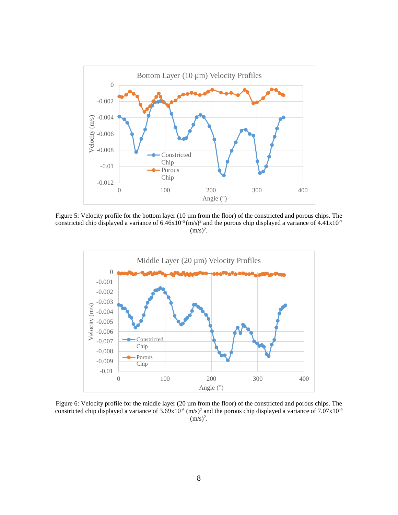

Figure 5: Velocity profile for the bottom layer (10 µm from the floor) of the constricted and porous chips. The constricted chip displayed a variance of  $6.46x10^{-6}$  (m/s)<sup>2</sup> and the porous chip displayed a variance of  $4.41x10^{-7}$  $(m/s)<sup>2</sup>$ .



Figure 6: Velocity profile for the middle layer (20 µm from the floor) of the constricted and porous chips. The constricted chip displayed a variance of  $3.69 \times 10^{-6}$  (m/s)<sup>2</sup> and the porous chip displayed a variance of  $7.07 \times 10^{-9}$  $(m/s)^2$ .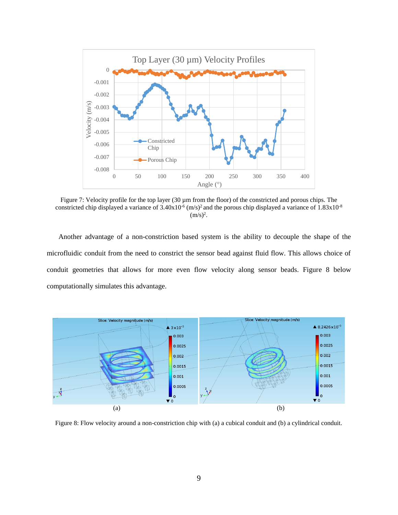

Figure 7: Velocity profile for the top layer (30 µm from the floor) of the constricted and porous chips. The constricted chip displayed a variance of  $3.40x10^{-6}$  (m/s)<sup>2</sup> and the porous chip displayed a variance of  $1.83x10^{-8}$  $(m/s)^2$ .

Another advantage of a non-constriction based system is the ability to decouple the shape of the microfluidic conduit from the need to constrict the sensor bead against fluid flow. This allows choice of conduit geometries that allows for more even flow velocity along sensor beads. Figure 8 below computationally simulates this advantage.



Figure 8: Flow velocity around a non-constriction chip with (a) a cubical conduit and (b) a cylindrical conduit.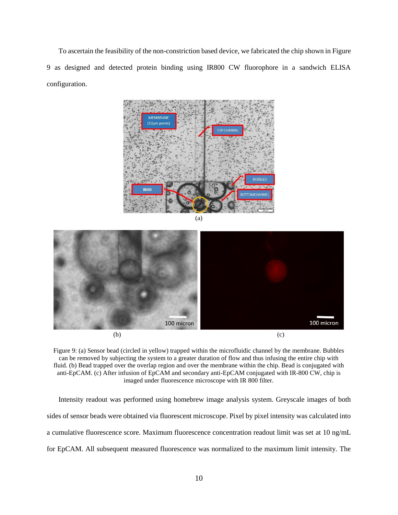To ascertain the feasibility of the non-constriction based device, we fabricated the chip shown in Figure 9 as designed and detected protein binding using IR800 CW fluorophore in a sandwich ELISA configuration.



100 micron 100 micron  $(b)$  (c)

Figure 9: (a) Sensor bead (circled in yellow) trapped within the microfluidic channel by the membrane. Bubbles can be removed by subjecting the system to a greater duration of flow and thus infusing the entire chip with fluid. (b) Bead trapped over the overlap region and over the membrane within the chip. Bead is conjugated with anti-EpCAM. (c) After infusion of EpCAM and secondary anti-EpCAM conjugated with IR-800 CW, chip is imaged under fluorescence microscope with IR 800 filter.

Intensity readout was performed using homebrew image analysis system. Greyscale images of both sides of sensor beads were obtained via fluorescent microscope. Pixel by pixel intensity was calculated into a cumulative fluorescence score. Maximum fluorescence concentration readout limit was set at 10 ng/mL for EpCAM. All subsequent measured fluorescence was normalized to the maximum limit intensity. The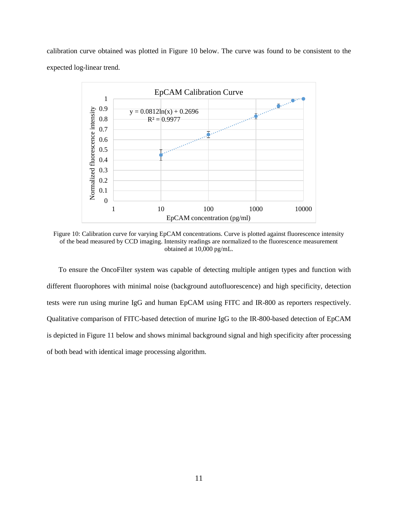calibration curve obtained was plotted in Figure 10 below. The curve was found to be consistent to the expected log-linear trend.



Figure 10: Calibration curve for varying EpCAM concentrations. Curve is plotted against fluorescence intensity of the bead measured by CCD imaging. Intensity readings are normalized to the fluorescence measurement obtained at 10,000 pg/mL.

To ensure the OncoFilter system was capable of detecting multiple antigen types and function with different fluorophores with minimal noise (background autofluorescence) and high specificity, detection tests were run using murine IgG and human EpCAM using FITC and IR-800 as reporters respectively. Qualitative comparison of FITC-based detection of murine IgG to the IR-800-based detection of EpCAM is depicted in Figure 11 below and shows minimal background signal and high specificity after processing of both bead with identical image processing algorithm.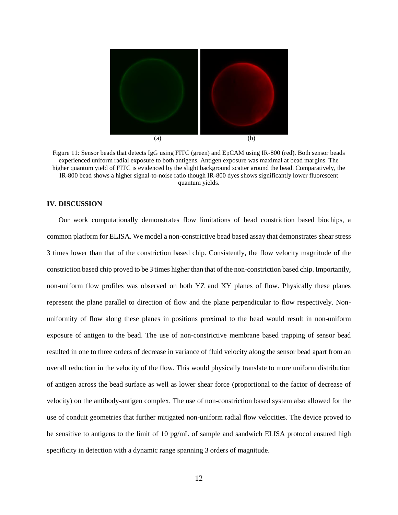

Figure 11: Sensor beads that detects IgG using FITC (green) and EpCAM using IR-800 (red). Both sensor beads experienced uniform radial exposure to both antigens. Antigen exposure was maximal at bead margins. The higher quantum yield of FITC is evidenced by the slight background scatter around the bead. Comparatively, the IR-800 bead shows a higher signal-to-noise ratio though IR-800 dyes shows significantly lower fluorescent quantum yields.

## **IV. DISCUSSION**

Our work computationally demonstrates flow limitations of bead constriction based biochips, a common platform for ELISA. We model a non-constrictive bead based assay that demonstrates shear stress 3 times lower than that of the constriction based chip. Consistently, the flow velocity magnitude of the constriction based chip proved to be 3 times higher than that of the non-constriction based chip. Importantly, non-uniform flow profiles was observed on both YZ and XY planes of flow. Physically these planes represent the plane parallel to direction of flow and the plane perpendicular to flow respectively. Nonuniformity of flow along these planes in positions proximal to the bead would result in non-uniform exposure of antigen to the bead. The use of non-constrictive membrane based trapping of sensor bead resulted in one to three orders of decrease in variance of fluid velocity along the sensor bead apart from an overall reduction in the velocity of the flow. This would physically translate to more uniform distribution of antigen across the bead surface as well as lower shear force (proportional to the factor of decrease of velocity) on the antibody-antigen complex. The use of non-constriction based system also allowed for the use of conduit geometries that further mitigated non-uniform radial flow velocities. The device proved to be sensitive to antigens to the limit of 10 pg/mL of sample and sandwich ELISA protocol ensured high specificity in detection with a dynamic range spanning 3 orders of magnitude.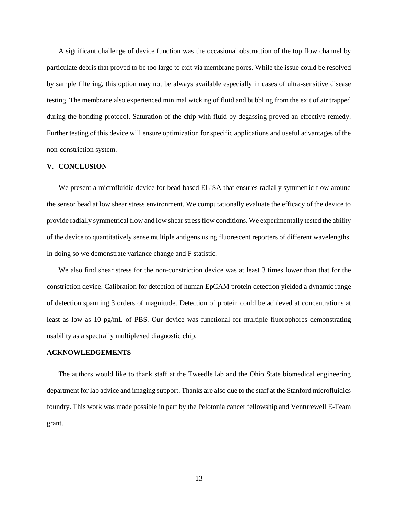A significant challenge of device function was the occasional obstruction of the top flow channel by particulate debris that proved to be too large to exit via membrane pores. While the issue could be resolved by sample filtering, this option may not be always available especially in cases of ultra-sensitive disease testing. The membrane also experienced minimal wicking of fluid and bubbling from the exit of air trapped during the bonding protocol. Saturation of the chip with fluid by degassing proved an effective remedy. Further testing of this device will ensure optimization for specific applications and useful advantages of the non-constriction system.

#### **V. CONCLUSION**

We present a microfluidic device for bead based ELISA that ensures radially symmetric flow around the sensor bead at low shear stress environment. We computationally evaluate the efficacy of the device to provide radially symmetrical flow and low shear stress flow conditions. We experimentally tested the ability of the device to quantitatively sense multiple antigens using fluorescent reporters of different wavelengths. In doing so we demonstrate variance change and F statistic.

We also find shear stress for the non-constriction device was at least 3 times lower than that for the constriction device. Calibration for detection of human EpCAM protein detection yielded a dynamic range of detection spanning 3 orders of magnitude. Detection of protein could be achieved at concentrations at least as low as 10 pg/mL of PBS. Our device was functional for multiple fluorophores demonstrating usability as a spectrally multiplexed diagnostic chip.

#### **ACKNOWLEDGEMENTS**

The authors would like to thank staff at the Tweedle lab and the Ohio State biomedical engineering department for lab advice and imaging support. Thanks are also due to the staff at the Stanford microfluidics foundry. This work was made possible in part by the Pelotonia cancer fellowship and Venturewell E-Team grant.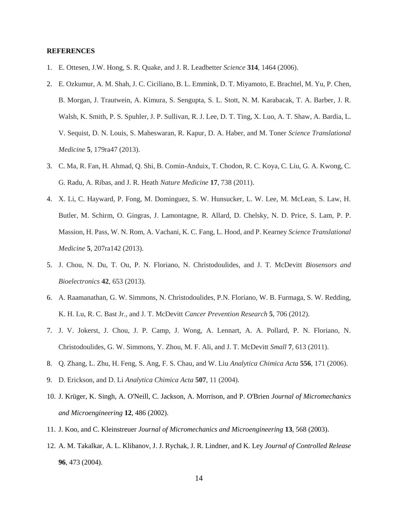### **REFERENCES**

- 1. E. Ottesen, J.W. Hong, S. R. Quake, and J. R. Leadbetter *Science* **314**, 1464 (2006).
- 2. E. Ozkumur, A. M. Shah, J. C. Ciciliano, B. L. Emmink, D. T. Miyamoto, E. Brachtel, M. Yu, P. Chen, B. Morgan, J. Trautwein, A. Kimura, S. Sengupta, S. L. Stott, N. M. Karabacak, T. A. Barber, J. R. Walsh, K. Smith, P. S. Spuhler, J. P. Sullivan, R. J. Lee, D. T. Ting, X. Luo, A. T. Shaw, A. Bardia, L. V. Sequist, D. N. Louis, S. Maheswaran, R. Kapur, D. A. Haber, and M. Toner *Science Translational Medicine* **5**, 179ra47 (2013).
- 3. C. Ma, R. Fan, H. Ahmad, Q. Shi, B. Comin-Anduix, T. Chodon, R. C. Koya, C. Liu, G. A. Kwong, C. G. Radu, A. Ribas, and J. R. Heath *Nature Medicine* **17**, 738 (2011).
- 4. X. Li, C. Hayward, P. Fong, M. Dominguez, S. W. Hunsucker, L. W. Lee, M. McLean, S. Law, H. Butler, M. Schirm, O. Gingras, J. Lamontagne, R. Allard, D. Chelsky, N. D. Price, S. Lam, P. P. Massion, H. Pass, W. N. Rom, A. Vachani, K. C. Fang, L. Hood, and P. Kearney *Science Translational Medicine* **5**, 207ra142 (2013).
- 5. J. Chou, N. Du, T. Ou, P. N. Floriano, N. Christodoulides, and J. T. McDevitt *Biosensors and Bioelectronics* **42**, 653 (2013).
- 6. A. Raamanathan, G. W. Simmons, N. Christodoulides, P.N. Floriano, W. B. Furmaga, S. W. Redding, K. H. Lu, R. C. Bast Jr., and J. T. McDevitt *Cancer Prevention Research* **5**, 706 (2012).
- 7. J. V. Jokerst, J. Chou, J. P. Camp, J. Wong, A. Lennart, A. A. Pollard, P. N. Floriano, N. Christodoulides, G. W. Simmons, Y. Zhou, M. F. Ali, and J. T. McDevitt *Small* **7**, 613 (2011).
- 8. Q. Zhang, L. Zhu, H. Feng, S. Ang, F. S. Chau, and W. Liu *Analytica Chimica Acta* **556**, 171 (2006).
- 9. D. Erickson, and D. Li *Analytica Chimica Acta* **507**, 11 (2004).
- 10. J. Krüger, K. Singh, A. O'Neill, C. Jackson, A. Morrison, and P. O'Brien *Journal of Micromechanics and Microengineering* **12**, 486 (2002).
- 11. J. Koo, and C. Kleinstreuer *Journal of Micromechanics and Microengineering* **13**, 568 (2003).
- 12. A. M. Takalkar, A. L. Klibanov, J. J. Rychak, J. R. Lindner, and K. Ley *Journal of Controlled Release*  **96**, 473 (2004).